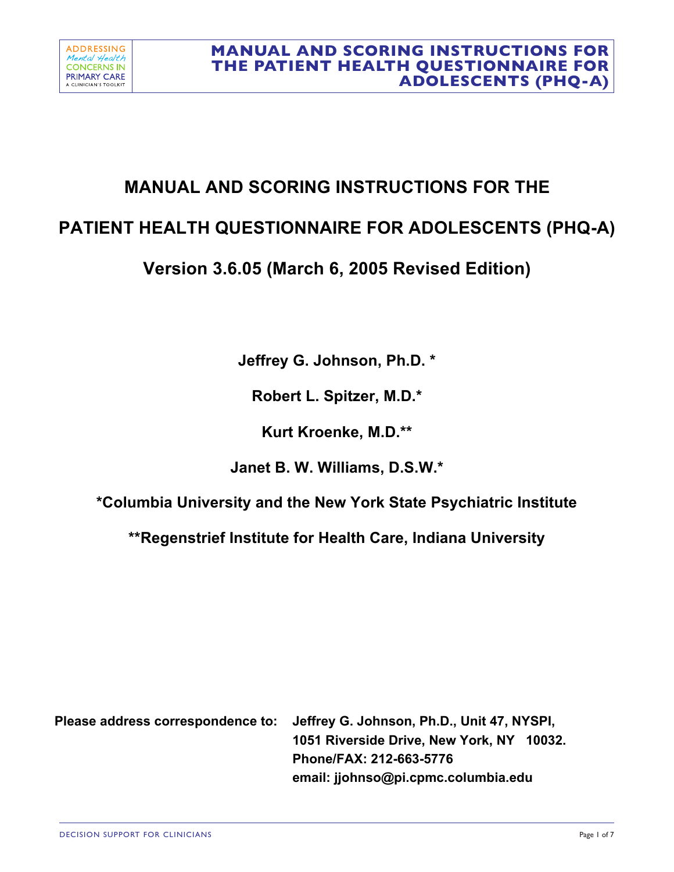# **MANUAL AND SCORING INSTRUCTIONS FOR THE**

# **PATIENT HEALTH QUESTIONNAIRE FOR ADOLESCENTS (PHQ-A)**

# **Version 3.6.05 (March 6, 2005 Revised Edition)**

**Jeffrey G. Johnson, Ph.D. \*** 

**Robert L. Spitzer, M.D.\***

**Kurt Kroenke, M.D.\*\***

**Janet B. W. Williams, D.S.W.\***

**\*Columbia University and the New York State Psychiatric Institute** 

**\*\*Regenstrief Institute for Health Care, Indiana University**

**Please address correspondence to: Jeffrey G. Johnson, Ph.D., Unit 47, NYSPI, 1051 Riverside Drive, New York, NY 10032. Phone/FAX: 212-663-5776 email: jjohnso@pi.cpmc.columbia.edu**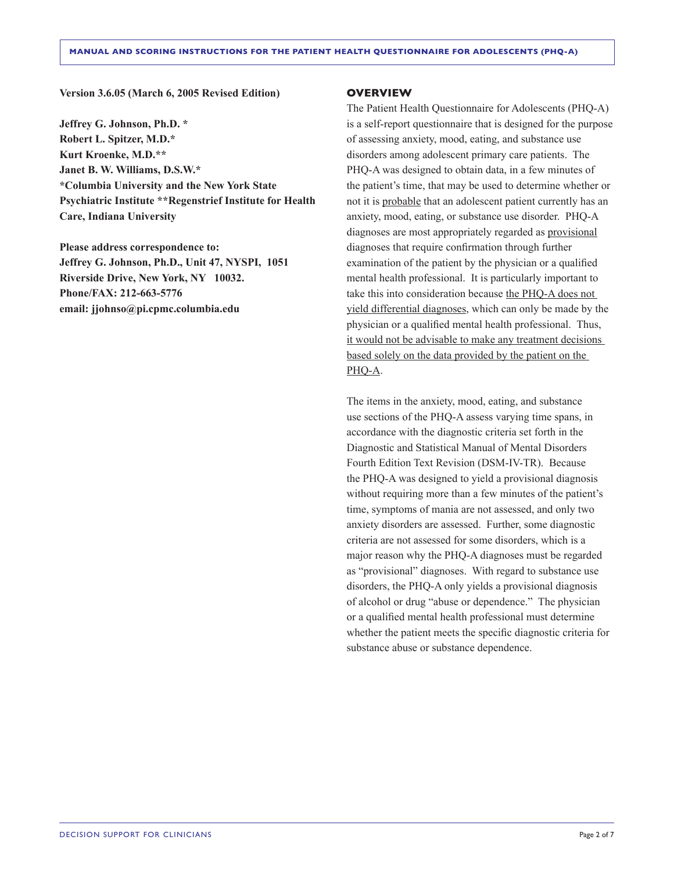#### **Version 3.6.05 (March 6, 2005 Revised Edition)**

**Jeffrey G. Johnson, Ph.D. \* Robert L. Spitzer, M.D.\* Kurt Kroenke, M.D.\*\* Janet B. W. Williams, D.S.W.\* \*Columbia University and the New York State Psychiatric Institute \*\*Regenstrief Institute for Health Care, Indiana University**

**Please address correspondence to: Jeffrey G. Johnson, Ph.D., Unit 47, NYSPI, 1051 Riverside Drive, New York, NY 10032. Phone/FAX: 212-663-5776 email: jjohnso@pi.cpmc.columbia.edu**

#### **OVERVIEW**

The Patient Health Questionnaire for Adolescents (PHQ-A) is a self-report questionnaire that is designed for the purpose of assessing anxiety, mood, eating, and substance use disorders among adolescent primary care patients. The PHQ-A was designed to obtain data, in a few minutes of the patient's time, that may be used to determine whether or not it is probable that an adolescent patient currently has an anxiety, mood, eating, or substance use disorder. PHQ-A diagnoses are most appropriately regarded as provisional diagnoses that require confirmation through further examination of the patient by the physician or a qualified mental health professional. It is particularly important to take this into consideration because the PHQ-A does not yield differential diagnoses, which can only be made by the physician or a qualified mental health professional. Thus, it would not be advisable to make any treatment decisions based solely on the data provided by the patient on the PHQ-A.

The items in the anxiety, mood, eating, and substance use sections of the PHQ-A assess varying time spans, in accordance with the diagnostic criteria set forth in the Diagnostic and Statistical Manual of Mental Disorders Fourth Edition Text Revision (DSM-IV-TR). Because the PHQ-A was designed to yield a provisional diagnosis without requiring more than a few minutes of the patient's time, symptoms of mania are not assessed, and only two anxiety disorders are assessed. Further, some diagnostic criteria are not assessed for some disorders, which is a major reason why the PHQ-A diagnoses must be regarded as "provisional" diagnoses. With regard to substance use disorders, the PHQ-A only yields a provisional diagnosis of alcohol or drug "abuse or dependence." The physician or a qualified mental health professional must determine whether the patient meets the specific diagnostic criteria for substance abuse or substance dependence.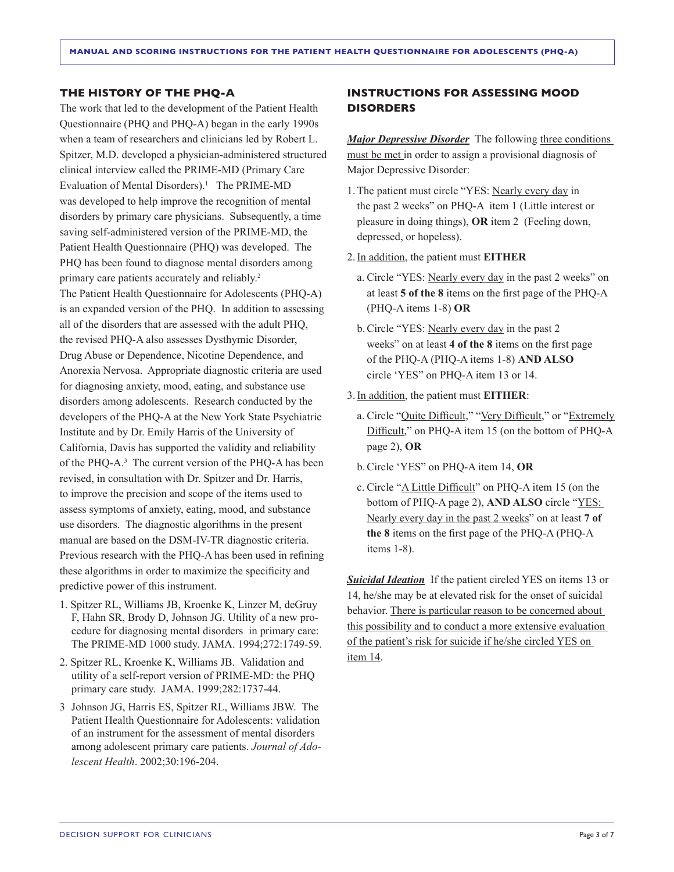#### **THE HISTORY OF THE PHQ-A**

The work that led to the development of the Patient Health Questionnaire (PHQ and PHQ-A) began in the early 1990s when a team of researchers and clinicians led by Robert L. Spitzer, M.D. developed a physician-administered structured clinical interview called the PRIME-MD (Primary Care Evaluation of Mental Disorders).<sup>1</sup> The PRIME-MD was developed to help improve the recognition of mental disorders by primary care physicians. Subsequently, a time saving self-administered version of the PRIME-MD, the Patient Health Questionnaire (PHQ) was developed. The PHQ has been found to diagnose mental disorders among primary care patients accurately and reliably.<sup>2</sup> The Patient Health Questionnaire for Adolescents (PHQ-A) is an expanded version of the PHQ. In addition to assessing all of the disorders that are assessed with the adult PHQ, the revised PHQ-A also assesses Dysthymic Disorder, Drug Abuse or Dependence, Nicotine Dependence, and Anorexia Nervosa. Appropriate diagnostic criteria are used for diagnosing anxiety, mood, eating, and substance use disorders among adolescents. Research conducted by the developers of the PHQ-A at the New York State Psychiatric Institute and by Dr. Emily Harris of the University of California, Davis has supported the validity and reliability of the PHQ-A.<sup>3</sup> The current version of the PHQ-A has been revised, in consultation with Dr. Spitzer and Dr. Harris, to improve the precision and scope of the items used to assess symptoms of anxiety, eating, mood, and substance use disorders. The diagnostic algorithms in the present manual are based on the DSM-IV-TR diagnostic criteria. Previous research with the PHQ-A has been used in refining these algorithms in order to maximize the specificity and predictive power of this instrument.

- 1. Spitzer RL, Williams JB, Kroenke K, Linzer M, deGruy F, Hahn SR, Brody D, Johnson JG. Utility of a new procedure for diagnosing mental disorders in primary care: The PRIME-MD 1000 study. JAMA. 1994;272:1749-59.
- 2. Spitzer RL, Kroenke K, Williams JB. Validation and utility of a self-report version of PRIME-MD: the PHQ primary care study. JAMA. 1999;282:1737-44.
- 3 Johnson JG, Harris ES, Spitzer RL, Williams JBW. The Patient Health Questionnaire for Adolescents: validation of an instrument for the assessment of mental disorders among adolescent primary care patients. *Journal of Adolescent Health*. 2002;30:196-204.

### **INSTRUCTIONS FOR ASSESSING MOOD DISORDERS**

*Major Depressive Disorder* The following three conditions must be met in order to assign a provisional diagnosis of Major Depressive Disorder:

- 1.The patient must circle "YES: Nearly every day in the past 2 weeks" on PHQ-A item 1 (Little interest or pleasure in doing things), **OR** item 2 (Feeling down, depressed, or hopeless).
- 2.In addition, the patient must **EITHER**
	- a. Circle "YES: Nearly every day in the past 2 weeks" on at least **5 of the 8** items on the first page of the PHQ-A (PHQ-A items 1-8) **OR**
	- b.Circle "YES: Nearly every day in the past 2 weeks" on at least **4 of the 8** items on the first page of the PHQ-A (PHQ-A items 1-8) **AND ALSO**  circle 'YES" on PHQ-A item 13 or 14.
- 3.In addition, the patient must **EITHER**:
	- a. Circle "Quite Difficult," "Very Difficult," or "Extremely Difficult," on PHQ-A item 15 (on the bottom of PHQ-A page 2), **OR**
	- b.Circle 'YES" on PHQ-A item 14, **OR**
	- c. Circle "A Little Difficult" on PHQ-A item 15 (on the bottom of PHQ-A page 2), **AND ALSO** circle "YES: Nearly every day in the past 2 weeks" on at least **7 of the 8** items on the first page of the PHQ-A (PHQ-A items 1-8).

**Suicidal Ideation** If the patient circled YES on items 13 or 14, he/she may be at elevated risk for the onset of suicidal behavior. There is particular reason to be concerned about this possibility and to conduct a more extensive evaluation of the patient's risk for suicide if he/she circled YES on item 14.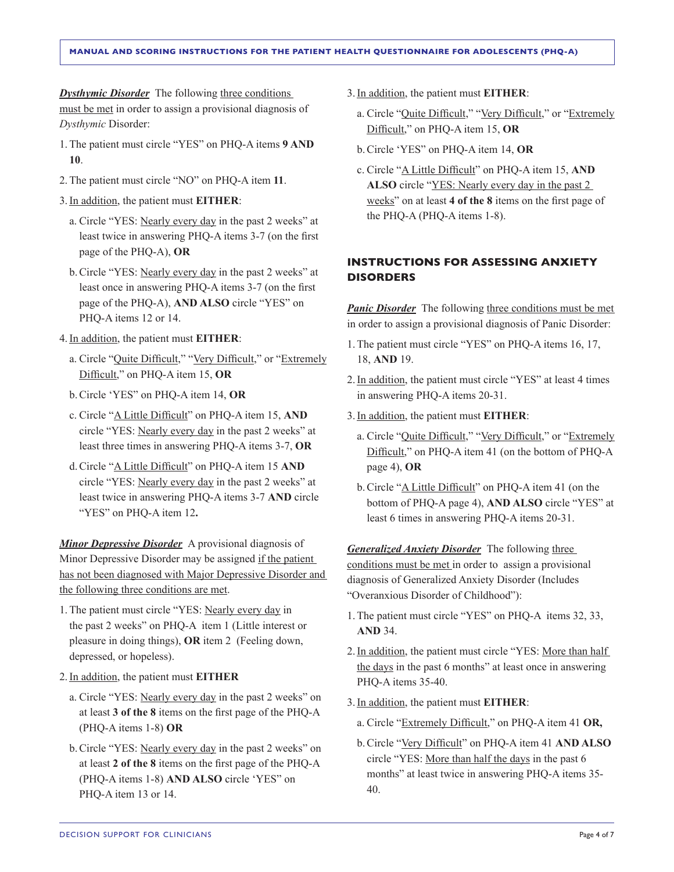*Dysthymic Disorder* The following three conditions must be met in order to assign a provisional diagnosis of *Dysthymic* Disorder:

- 1.The patient must circle "YES" on PHQ-A items **9 AND 10**.
- 2.The patient must circle "NO" on PHQ-A item **11**.
- 3.In addition, the patient must **EITHER**:
	- a. Circle "YES: Nearly every day in the past 2 weeks" at least twice in answering PHQ-A items 3-7 (on the first page of the PHQ-A), **OR**
	- b.Circle "YES: Nearly every day in the past 2 weeks" at least once in answering PHQ-A items 3-7 (on the first page of the PHQ-A), **AND ALSO** circle "YES" on PHQ-A items 12 or 14.
- 4.In addition, the patient must **EITHER**:
	- a. Circle "Quite Difficult," "Very Difficult," or "Extremely Difficult," on PHQ-A item 15, **OR**
	- b.Circle 'YES" on PHQ-A item 14, **OR**
	- c. Circle "A Little Difficult" on PHQ-A item 15, **AND**  circle "YES: Nearly every day in the past 2 weeks" at least three times in answering PHQ-A items 3-7, **OR**
	- d.Circle "A Little Difficult" on PHQ-A item 15 **AND** circle "YES: Nearly every day in the past 2 weeks" at least twice in answering PHQ-A items 3-7 **AND** circle "YES" on PHQ-A item 12**.**

**Minor Depressive Disorder** A provisional diagnosis of Minor Depressive Disorder may be assigned if the patient has not been diagnosed with Major Depressive Disorder and the following three conditions are met.

- 1.The patient must circle "YES: Nearly every day in the past 2 weeks" on PHQ-A item 1 (Little interest or pleasure in doing things), **OR** item 2 (Feeling down, depressed, or hopeless).
- 2.In addition, the patient must **EITHER**
	- a. Circle "YES: Nearly every day in the past 2 weeks" on at least **3 of the 8** items on the first page of the PHQ-A (PHQ-A items 1-8) **OR**
	- b.Circle "YES: Nearly every day in the past 2 weeks" on at least **2 of the 8** items on the first page of the PHQ-A (PHQ-A items 1-8) **AND ALSO** circle 'YES" on PHQ-A item 13 or 14.
- 3.In addition, the patient must **EITHER**:
	- a. Circle "Quite Difficult," "Very Difficult," or "Extremely Difficult," on PHQ-A item 15, **OR**
	- b.Circle 'YES" on PHQ-A item 14, **OR**
	- c. Circle "A Little Difficult" on PHQ-A item 15, **AND ALSO** circle "YES: Nearly every day in the past 2 weeks" on at least **4 of the 8** items on the first page of the PHQ-A (PHQ-A items 1-8).

## **INSTRUCTIONS FOR ASSESSING ANXIETY DISORDERS**

**Panic Disorder** The following three conditions must be met in order to assign a provisional diagnosis of Panic Disorder:

- 1.The patient must circle "YES" on PHQ-A items 16, 17, 18, **AND** 19.
- 2.In addition, the patient must circle "YES" at least 4 times in answering PHQ-A items 20-31.
- 3.In addition, the patient must **EITHER**:
	- a. Circle "Quite Difficult," "Very Difficult," or "Extremely Difficult," on PHQ-A item 41 (on the bottom of PHQ-A page 4), **OR**
	- b. Circle "A Little Difficult" on PHQ-A item 41 (on the bottom of PHQ-A page 4), **AND ALSO** circle "YES" at least 6 times in answering PHQ-A items 20-31.

*Generalized Anxiety Disorder* The following three conditions must be met in order to assign a provisional diagnosis of Generalized Anxiety Disorder (Includes "Overanxious Disorder of Childhood"):

- 1.The patient must circle "YES" on PHQ-A items 32, 33, **AND** 34.
- 2.In addition, the patient must circle "YES: More than half the days in the past 6 months" at least once in answering PHQ-A items 35-40.
- 3.In addition, the patient must **EITHER**:
	- a. Circle "Extremely Difficult," on PHQ-A item 41 **OR,**
	- b.Circle "Very Difficult" on PHQ-A item 41 **AND ALSO** circle "YES: More than half the days in the past 6 months" at least twice in answering PHQ-A items 35- 40.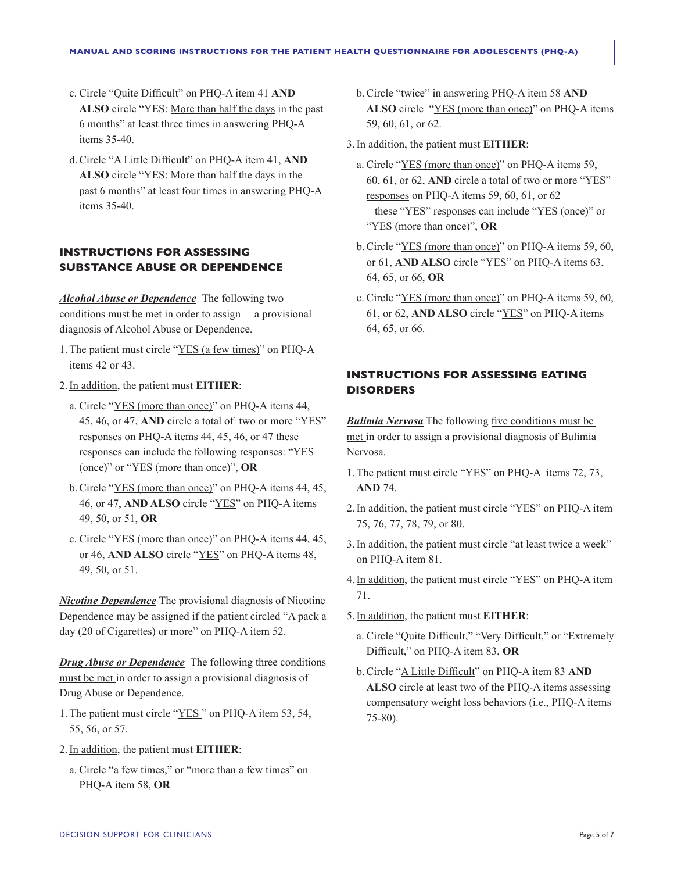- c. Circle "Quite Difficult" on PHQ-A item 41 **AND ALSO** circle "YES: More than half the days in the past 6 months" at least three times in answering PHQ-A items 35-40.
- d.Circle "A Little Difficult" on PHQ-A item 41, **AND ALSO** circle "YES: More than half the days in the past 6 months" at least four times in answering PHQ-A items 35-40.

### **INSTRUCTIONS FOR ASSESSING SUBSTANCE ABUSE OR DEPENDENCE**

*Alcohol Abuse or Dependence* The following two conditions must be met in order to assign a provisional diagnosis of Alcohol Abuse or Dependence.

- 1.The patient must circle "YES (a few times)" on PHQ-A items 42 or 43.
- 2.In addition, the patient must **EITHER**:
	- a. Circle "YES (more than once)" on PHQ-A items 44, 45, 46, or 47, **AND** circle a total of two or more "YES" responses on PHQ-A items 44, 45, 46, or 47 these responses can include the following responses: "YES (once)" or "YES (more than once)", **OR**
	- b.Circle "YES (more than once)" on PHQ-A items 44, 45, 46, or 47, **AND ALSO** circle "YES" on PHQ-A items 49, 50, or 51, **OR**
	- c. Circle "YES (more than once)" on PHQ-A items 44, 45, or 46, **AND ALSO** circle "YES" on PHQ-A items 48, 49, 50, or 51.

*Nicotine Dependence* The provisional diagnosis of Nicotine Dependence may be assigned if the patient circled "A pack a day (20 of Cigarettes) or more" on PHQ-A item 52.

*Drug Abuse or Dependence* The following three conditions must be met in order to assign a provisional diagnosis of Drug Abuse or Dependence.

- 1.The patient must circle "YES " on PHQ-A item 53, 54, 55, 56, or 57.
- 2.In addition, the patient must **EITHER**:
	- a. Circle "a few times," or "more than a few times" on PHQ-A item 58, **OR**
- b.Circle "twice" in answering PHQ-A item 58 **AND ALSO** circle "YES (more than once)" on PHQ-A items 59, 60, 61, or 62.
- 3.In addition, the patient must **EITHER**:
	- a. Circle "YES (more than once)" on PHQ-A items 59, 60, 61, or 62, **AND** circle a total of two or more "YES" responses on PHQ-A items 59, 60, 61, or 62 these "YES" responses can include "YES (once)" or "YES (more than once)", **OR**
	- b.Circle "YES (more than once)" on PHQ-A items 59, 60, or 61, **AND ALSO** circle "YES" on PHQ-A items 63, 64, 65, or 66, **OR**
	- c. Circle "YES (more than once)" on PHQ-A items 59, 60, 61, or 62, **AND ALSO** circle "YES" on PHQ-A items 64, 65, or 66.

## **INSTRUCTIONS FOR ASSESSING EATING DISORDERS**

*Bulimia Nervosa* The following five conditions must be met in order to assign a provisional diagnosis of Bulimia Nervosa.

- 1.The patient must circle "YES" on PHQ-A items 72, 73, **AND** 74.
- 2.In addition, the patient must circle "YES" on PHQ-A item 75, 76, 77, 78, 79, or 80.
- 3.In addition, the patient must circle "at least twice a week" on PHQ-A item 81.
- 4.In addition, the patient must circle "YES" on PHQ-A item 71.
- 5.In addition, the patient must **EITHER**:
	- a. Circle "Quite Difficult," "Very Difficult," or "Extremely Difficult," on PHQ-A item 83, **OR**
	- b.Circle "A Little Difficult" on PHQ-A item 83 **AND ALSO** circle at least two of the PHQ-A items assessing compensatory weight loss behaviors (i.e., PHQ-A items 75-80).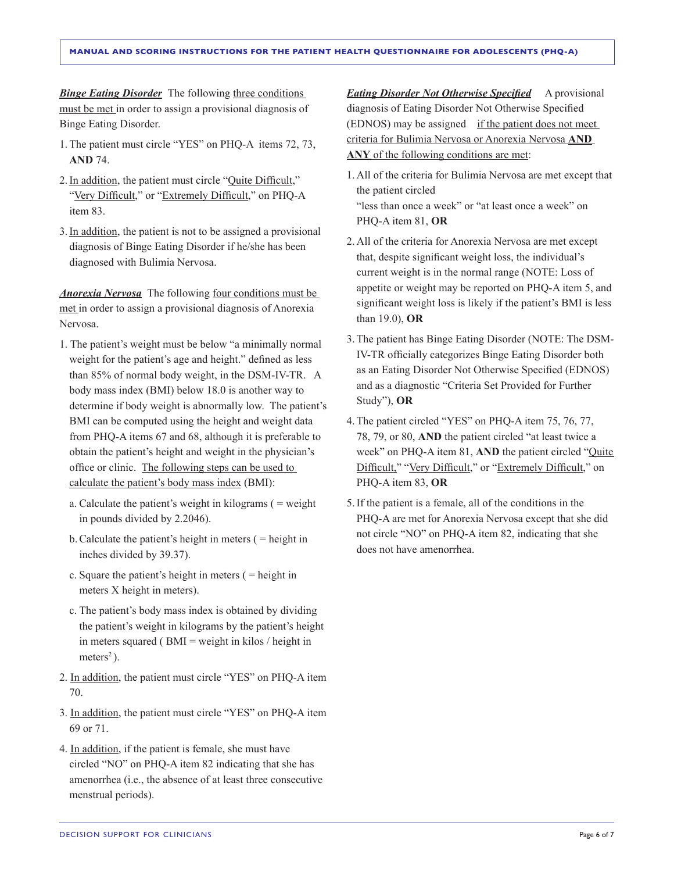*Binge Eating Disorder* The following three conditions must be met in order to assign a provisional diagnosis of Binge Eating Disorder.

- 1.The patient must circle "YES" on PHQ-A items 72, 73, **AND** 74.
- 2.In addition, the patient must circle "Quite Difficult," "Very Difficult," or "Extremely Difficult," on PHQ-A item 83.
- 3.In addition, the patient is not to be assigned a provisional diagnosis of Binge Eating Disorder if he/she has been diagnosed with Bulimia Nervosa.

*Anorexia Nervosa* The following four conditions must be met in order to assign a provisional diagnosis of Anorexia Nervosa.

- 1. The patient's weight must be below "a minimally normal weight for the patient's age and height." defined as less than 85% of normal body weight, in the DSM-IV-TR. A body mass index (BMI) below 18.0 is another way to determine if body weight is abnormally low. The patient's BMI can be computed using the height and weight data from PHQ-A items 67 and 68, although it is preferable to obtain the patient's height and weight in the physician's office or clinic. The following steps can be used to calculate the patient's body mass index (BMI):
	- a. Calculate the patient's weight in kilograms ( = weight in pounds divided by 2.2046).
	- b.Calculate the patient's height in meters ( = height in inches divided by 39.37).
	- c. Square the patient's height in meters ( = height in meters X height in meters).
	- c. The patient's body mass index is obtained by dividing the patient's weight in kilograms by the patient's height in meters squared ( $BMI = weight$  in kilos / height in meters<sup>2</sup>).
- 2. In addition, the patient must circle "YES" on PHQ-A item 70.
- 3. In addition, the patient must circle "YES" on PHQ-A item 69 or 71.
- 4. In addition, if the patient is female, she must have circled "NO" on PHQ-A item 82 indicating that she has amenorrhea (i.e., the absence of at least three consecutive menstrual periods).

*Eating Disorder Not Otherwise Specified* A provisional diagnosis of Eating Disorder Not Otherwise Specified (EDNOS) may be assigned if the patient does not meet criteria for Bulimia Nervosa or Anorexia Nervosa **AND ANY** of the following conditions are met:

- 1. All of the criteria for Bulimia Nervosa are met except that the patient circled "less than once a week" or "at least once a week" on PHQ-A item 81, **OR**
- 2. All of the criteria for Anorexia Nervosa are met except that, despite significant weight loss, the individual's current weight is in the normal range (NOTE: Loss of appetite or weight may be reported on PHQ-A item 5, and significant weight loss is likely if the patient's BMI is less than 19.0), **OR**
- 3.The patient has Binge Eating Disorder (NOTE: The DSM-IV-TR officially categorizes Binge Eating Disorder both as an Eating Disorder Not Otherwise Specified (EDNOS) and as a diagnostic "Criteria Set Provided for Further Study"), **OR**
- 4.The patient circled "YES" on PHQ-A item 75, 76, 77, 78, 79, or 80, **AND** the patient circled "at least twice a week" on PHQ-A item 81, **AND** the patient circled "Quite Difficult," "Very Difficult," or "Extremely Difficult," on PHQ-A item 83, **OR**
- 5.If the patient is a female, all of the conditions in the PHQ-A are met for Anorexia Nervosa except that she did not circle "NO" on PHQ-A item 82, indicating that she does not have amenorrhea.